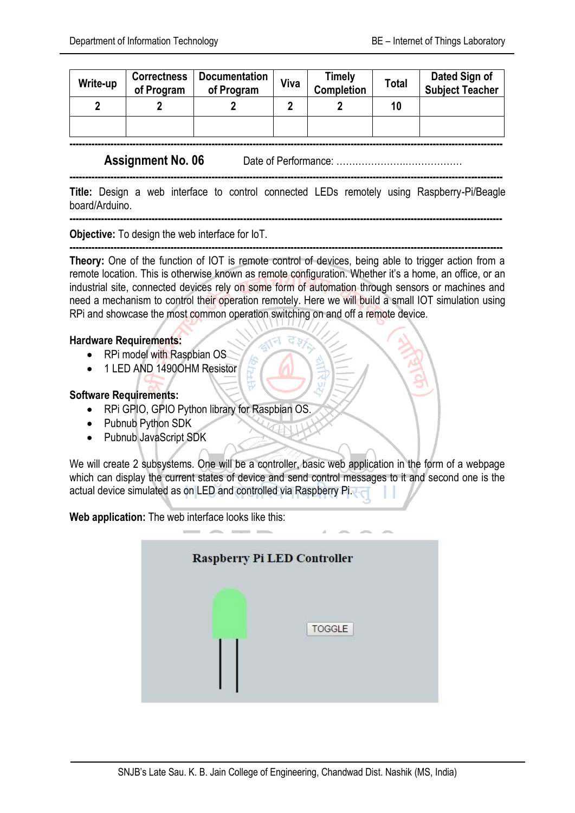| Write-up | <b>Correctness</b><br>of Program | <b>Documentation</b><br>of Program | Viva | Timely<br><b>Completion</b> | Total | Dated Sign of<br><b>Subject Teacher</b> |
|----------|----------------------------------|------------------------------------|------|-----------------------------|-------|-----------------------------------------|
|          |                                  |                                    |      |                             | 10    |                                         |
|          |                                  |                                    |      |                             |       |                                         |

**-----------------------------------------------------------------------------------------------------------------------------------------**

**-----------------------------------------------------------------------------------------------------------------------------------------**

**Assignment No. 06** Date of Performance: ………………….………………

**Title:** Design a web interface to control connected LEDs remotely using Raspberry-Pi/Beagle board/Arduino.

**-----------------------------------------------------------------------------------------------------------------------------------------**

**Objective:** To design the web interface for IoT.

**----------------------------------------------------------------------------------------------------------------------------------------- Theory:** One of the function of IOT is remote control of devices, being able to trigger action from a remote location. This is otherwise known as remote configuration. Whether it's a home, an office, or an industrial site, connected devices rely on some form of automation through sensors or machines and need a mechanism to control their operation remotely. Here we will build a small IOT simulation using RPi and showcase the most common operation switching on and off a remote device.

## **Hardware Requirements:**

- RPi model with Raspbian OS
- 1 LED AND 1490OHM Resistor

## **Software Requirements:**

- RPi GPIO, GPIO Python library for Raspbian OS.
- Pubnub Python SDK
- Pubnub JavaScript SDK

We will create 2 subsystems. One will be a controller, basic web application in the form of a webpage which can display the current states of device and send control messages to it and second one is the actual device simulated as on LED and controlled via Raspberry Pi.

**Web application:** The web interface looks like this:

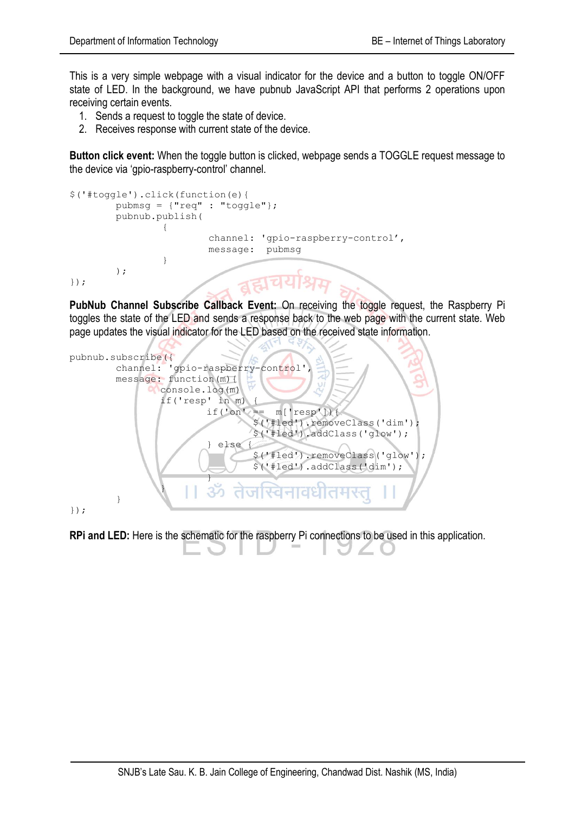This is a very simple webpage with a visual indicator for the device and a button to toggle ON/OFF state of LED. In the background, we have pubnub JavaScript API that performs 2 operations upon receiving certain events.

- 1. Sends a request to toggle the state of device.
- 2. Receives response with current state of the device.

**Button click event:** When the toggle button is clicked, webpage sends a TOGGLE request message to the device via 'gpio-raspberry-control' channel.

```
$('#toggle').click(function(e){
        pubmsg = {"req" : "toggle"};
        pubnub.publish(
{
                      channel: 'gpio-raspberry-control',
                      message: pubmsg
 }
        );
});
```
**PubNub Channel Subscribe Callback Event:** On receiving the toggle request, the Raspberry Pi toggles the state of the LED and sends a response back to the web page with the current state. Web page updates the visual indicator for the LED based on the received state information.



**RPi and LED:** Here is the schematic for the raspberry Pi connections to be used in this application.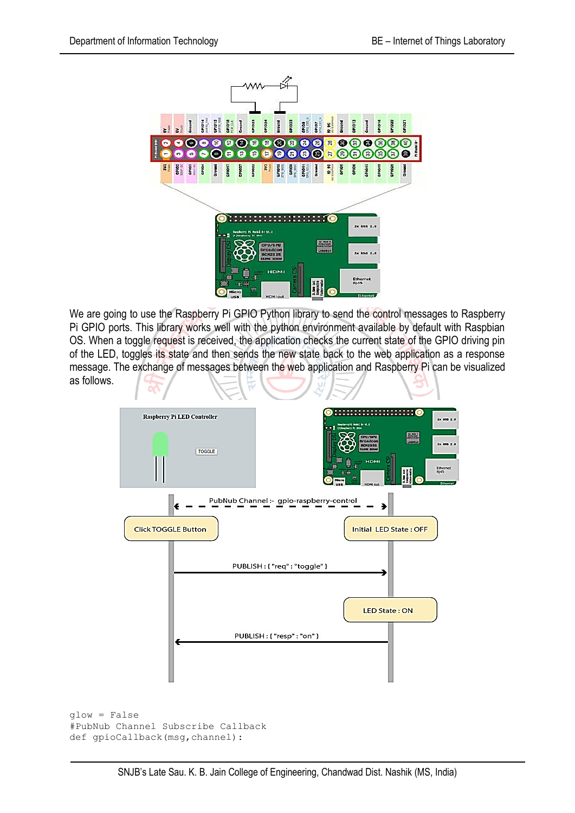

We are going to use the [Raspberry Pi GPIO Python library](https://pypi.python.org/pypi/RPi.GPIO) to send the control messages to Raspberry Pi GPIO ports. This library works well with the python environment available by default with Raspbian OS. When a toggle request is received, the application checks the current state of the GPIO driving pin of the LED, toggles its state and then sends the new state back to the web application as a response message. The exchange of messages between the web application and Raspberry Pi can be visualized as follows.



glow = False #PubNub Channel Subscribe Callback def gpioCallback(msg,channel):